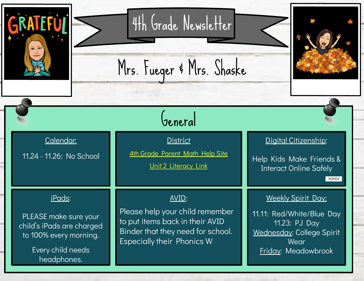| 4th Grade Newsletter<br>EE<br>Mrs. Fueger & Mrs. Shaske |                                                                                                                                   |                                                                                                                                                              |                                                                                                                                            |
|---------------------------------------------------------|-----------------------------------------------------------------------------------------------------------------------------------|--------------------------------------------------------------------------------------------------------------------------------------------------------------|--------------------------------------------------------------------------------------------------------------------------------------------|
|                                                         |                                                                                                                                   | General                                                                                                                                                      |                                                                                                                                            |
|                                                         | Calendar.<br>11.24 - 11.26: No School                                                                                             | <b>District</b><br>4th Grade Parent Math Help Site<br><b>Unit 2 Literacy Link</b>                                                                            | Digital Citizenship:<br>Help Kids Make Friends &<br><b>Interact Online Safely</b><br>Ð                                                     |
|                                                         | <u>iPads:</u><br>PLEASE make sure your<br>child's iPads are charged<br>to 100% every morning.<br>Every child needs<br>headphones. | <u>AVID:</u><br>Please help your child remember<br>to put items back in their AVID<br>Binder that they need for school.<br><b>Especially their Phonics W</b> | <b>Weekly Spirit Day:</b><br>11.11: Red/White/Blue Day<br>11.23: PJ Day<br>Wednesday: College Spirit<br>Wear<br><b>Friday: Meadowbrook</b> |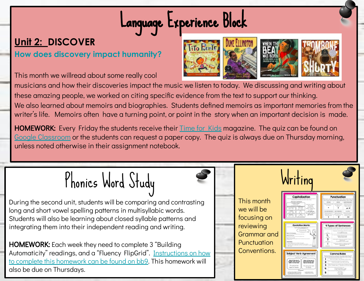## Language Experience Block

#### **[Unit 2:](https://bb9.waukesha.k12.wi.us/webapps/blackboard/content/listContentEditable.jsp?content_id=_2338360_1&course_id=_10714_1&mode=quick&content_id=_2338360_1) DISCOVER**

**How does discovery impact humanity?**

This month we willread about some really cool



musicians and how their discoveries impact the music we listen to today. We discussing and writing about these amazing people, we worked on citing specific evidence from the text to support our thinking. We also learned about memoirs and biographies. Students defined memoirs as important memories from the writer's life. Memoirs often have a turning point, or point in the story when an important decision is made.

**HOMEWORK:** Every Friday the students receive their **[Time for Kids](https://bb9.waukesha.k12.wi.us/webapps/blackboard/content/listContentEditable.jsp?content_id=_2337769_1&course_id=_10714_1) magazine.** The quiz can be found on [Google Classroom](https://bb9.waukesha.k12.wi.us/webapps/blackboard/content/listContentEditable.jsp?content_id=_2338212_1&course_id=_10714_1&mode=quick&content_id=_2338213_1) or the students can request a paper copy. The quiz is always due on Thursday morning, unless noted otherwise in their assignment notebook.



During the second unit, students will be comparing and contrasting long and short vowel spelling patterns in multisyllabic words. Students will also be learning about closed syllable patterns and integrating them into their independent reading and writing.

HOMEWORK: Each week they need to complete 3 "Building Automaticity" readings, and a "Fluency FlipGrid". [Instructions on how](https://bb9.waukesha.k12.wi.us/webapps/blackboard/content/listContentEditable.jsp?content_id=_2337819_1&course_id=_10714_1&mode=reset) [to complete this homework can be found on bb9](https://bb9.waukesha.k12.wi.us/webapps/blackboard/content/listContentEditable.jsp?content_id=_2337819_1&course_id=_10714_1&mode=reset). This homework will also be due on Thursdays.